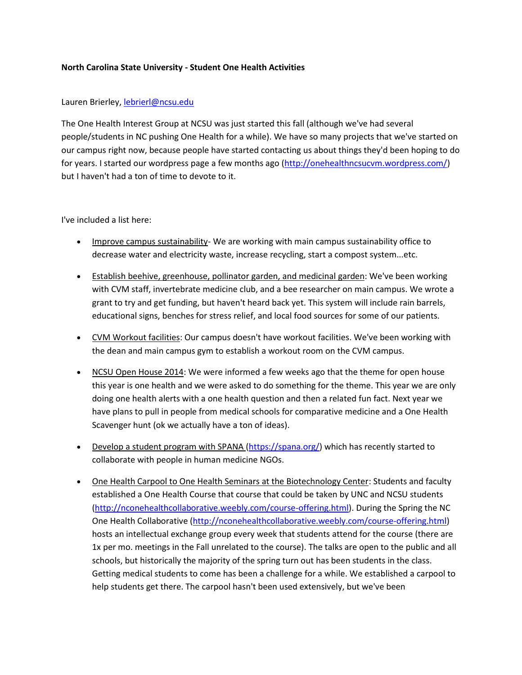## **North Carolina State University - Student One Health Activities**

## Lauren Brierley, lebrierl@ncsu.edu

The One Health Interest Group at NCSU was just started this fall (although we've had several people/students in NC pushing One Health for a while). We have so many projects that we've started on our campus right now, because people have started contacting us about things they'd been hoping to do for years. I started our wordpress page a few months ago [\(http://onehealthncsucvm.wordpress.com/\)](http://onehealthncsucvm.wordpress.com/) but I haven't had a ton of time to devote to it.

## I've included a list here:

- Improve campus sustainability- We are working with main campus sustainability office to decrease water and electricity waste, increase recycling, start a compost system...etc.
- Establish beehive, greenhouse, pollinator garden, and medicinal garden: We've been working with CVM staff, invertebrate medicine club, and a bee researcher on main campus. We wrote a grant to try and get funding, but haven't heard back yet. This system will include rain barrels, educational signs, benches for stress relief, and local food sources for some of our patients.
- CVM Workout facilities: Our campus doesn't have workout facilities. We've been working with the dean and main campus gym to establish a workout room on the CVM campus.
- NCSU Open House 2014: We were informed a few weeks ago that the theme for open house this year is one health and we were asked to do something for the theme. This year we are only doing one health alerts with a one health question and then a related fun fact. Next year we have plans to pull in people from medical schools for comparative medicine and a One Health Scavenger hunt (ok we actually have a ton of ideas).
- Develop a student program with SPANA [\(https://spana.org/\)](https://spana.org/) which has recently started to collaborate with people in human medicine NGOs.
- One Health Carpool to One Health Seminars at the Biotechnology Center: Students and faculty established a One Health Course that course that could be taken by UNC and NCSU students [\(http://nconehealthcollaborative.weebly.com/course-offering.html\)](http://nconehealthcollaborative.weebly.com/course-offering.html). During the Spring the NC One Health Collaborative [\(http://nconehealthcollaborative.weebly.com/course-offering.html\)](http://nconehealthcollaborative.weebly.com/course-offering.html) hosts an intellectual exchange group every week that students attend for the course (there are 1x per mo. meetings in the Fall unrelated to the course). The talks are open to the public and all schools, but historically the majority of the spring turn out has been students in the class. Getting medical students to come has been a challenge for a while. We established a carpool to help students get there. The carpool hasn't been used extensively, but we've been